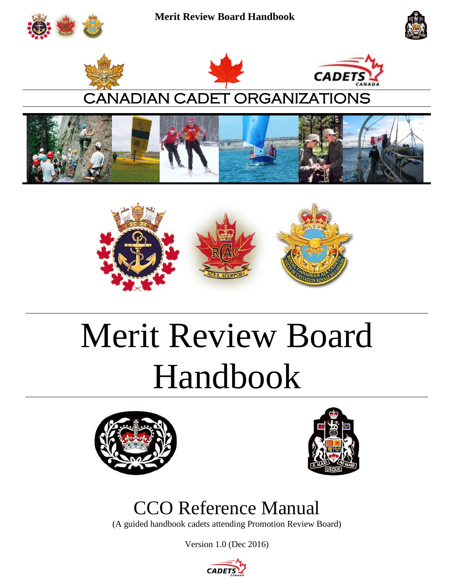











# CANADIAN CADET ORGANIZATIONS





# Merit Review Board Handbook





# CCO Reference Manual

(A guided handbook cadets attending Promotion Review Board)

Version 1.0 (Dec 2016)

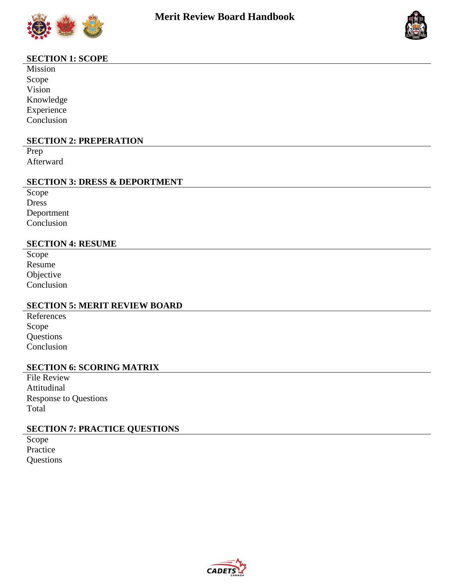



# **SECTION 1: SCOPE**

Mission Scope Vision Knowledge Experience Conclusion

#### **SECTION 2: PREPERATION**

Prep Afterward

## **SECTION 3: DRESS & DEPORTMENT**

Scope Dress Deportment Conclusion

#### **SECTION 4: RESUME**

Scope Resume Objective Conclusion

# **SECTION 5: MERIT REVIEW BOARD**

References Scope Questions Conclusion

# **SECTION 6: SCORING MATRIX**

File Review Attitudinal Response to Questions Total

# **SECTION 7: PRACTICE QUESTIONS**

Scope Practice **Questions** 

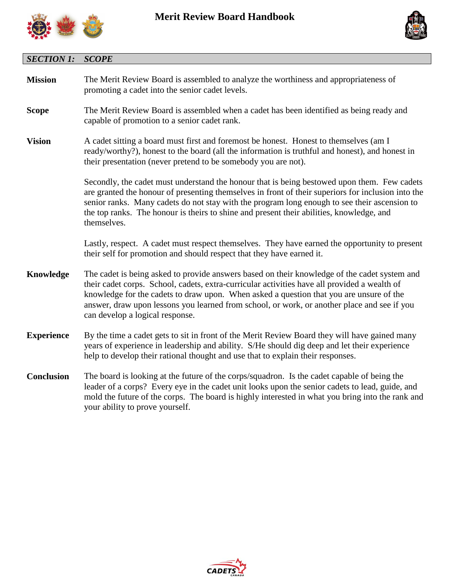



| <b>SECTION 1:</b> | <b>SCOPE</b>                                                                                                                                                                                                                                                                                                                                                                                                              |  |  |  |  |  |
|-------------------|---------------------------------------------------------------------------------------------------------------------------------------------------------------------------------------------------------------------------------------------------------------------------------------------------------------------------------------------------------------------------------------------------------------------------|--|--|--|--|--|
| <b>Mission</b>    | The Merit Review Board is assembled to analyze the worthiness and appropriateness of<br>promoting a cadet into the senior cadet levels.                                                                                                                                                                                                                                                                                   |  |  |  |  |  |
| <b>Scope</b>      | The Merit Review Board is assembled when a cadet has been identified as being ready and<br>capable of promotion to a senior cadet rank.                                                                                                                                                                                                                                                                                   |  |  |  |  |  |
| <b>Vision</b>     | A cadet sitting a board must first and foremost be honest. Honest to themselves (am I<br>ready/worthy?), honest to the board (all the information is truthful and honest), and honest in<br>their presentation (never pretend to be somebody you are not).                                                                                                                                                                |  |  |  |  |  |
|                   | Secondly, the cadet must understand the honour that is being bestowed upon them. Few cadets<br>are granted the honour of presenting themselves in front of their superiors for inclusion into the<br>senior ranks. Many cadets do not stay with the program long enough to see their ascension to<br>the top ranks. The honour is theirs to shine and present their abilities, knowledge, and<br>themselves.              |  |  |  |  |  |
|                   | Lastly, respect. A cadet must respect themselves. They have earned the opportunity to present<br>their self for promotion and should respect that they have earned it.                                                                                                                                                                                                                                                    |  |  |  |  |  |
| Knowledge         | The cadet is being asked to provide answers based on their knowledge of the cadet system and<br>their cadet corps. School, cadets, extra-curricular activities have all provided a wealth of<br>knowledge for the cadets to draw upon. When asked a question that you are unsure of the<br>answer, draw upon lessons you learned from school, or work, or another place and see if you<br>can develop a logical response. |  |  |  |  |  |
| <b>Experience</b> | By the time a cadet gets to sit in front of the Merit Review Board they will have gained many<br>years of experience in leadership and ability. S/He should dig deep and let their experience<br>help to develop their rational thought and use that to explain their responses.                                                                                                                                          |  |  |  |  |  |
| <b>Conclusion</b> | The board is looking at the future of the corps/squadron. Is the cadet capable of being the<br>leader of a corps? Every eye in the cadet unit looks upon the senior cadets to lead, guide, and<br>mold the future of the corps. The board is highly interested in what you bring into the rank and<br>your ability to prove yourself.                                                                                     |  |  |  |  |  |

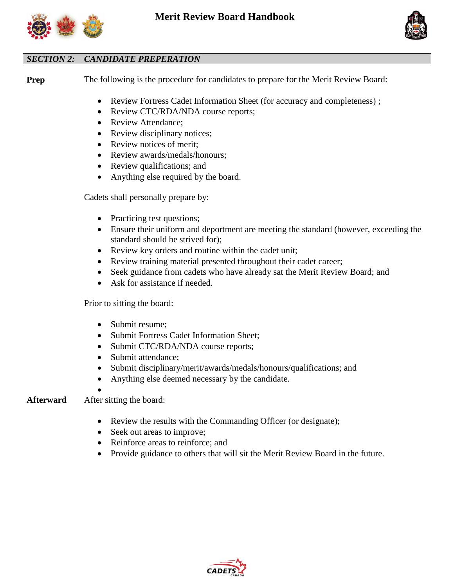



# *SECTION 2: CANDIDATE PREPERATION*

**Prep** The following is the procedure for candidates to prepare for the Merit Review Board:

- Review Fortress Cadet Information Sheet (for accuracy and completeness) ;
- Review CTC/RDA/NDA course reports;
- Review Attendance;
- Review disciplinary notices;
- Review notices of merit:
- Review awards/medals/honours;
- Review qualifications; and
- Anything else required by the board.

Cadets shall personally prepare by:

- Practicing test questions;
- Ensure their uniform and deportment are meeting the standard (however, exceeding the standard should be strived for);
- Review key orders and routine within the cadet unit;
- Review training material presented throughout their cadet career;
- Seek guidance from cadets who have already sat the Merit Review Board; and
- Ask for assistance if needed.

Prior to sitting the board:

- Submit resume;
- Submit Fortress Cadet Information Sheet;
- Submit CTC/RDA/NDA course reports;
- Submit attendance;
- Submit disciplinary/merit/awards/medals/honours/qualifications; and
- Anything else deemed necessary by the candidate.

 $\bullet$ **Afterward** After sitting the board:

- Review the results with the Commanding Officer (or designate);
- Seek out areas to improve;
- Reinforce areas to reinforce; and
- Provide guidance to others that will sit the Merit Review Board in the future.

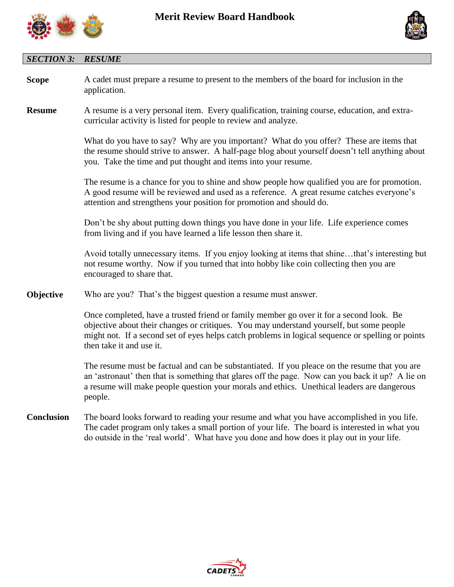



# *SECTION 3: RESUME*

| <b>Scope</b>      | A cadet must prepare a resume to present to the members of the board for inclusion in the<br>application.                                                                                                                                                                                                            |  |  |  |  |  |
|-------------------|----------------------------------------------------------------------------------------------------------------------------------------------------------------------------------------------------------------------------------------------------------------------------------------------------------------------|--|--|--|--|--|
| <b>Resume</b>     | A resume is a very personal item. Every qualification, training course, education, and extra-<br>curricular activity is listed for people to review and analyze.                                                                                                                                                     |  |  |  |  |  |
|                   | What do you have to say? Why are you important? What do you offer? These are items that<br>the resume should strive to answer. A half-page blog about yourself doesn't tell anything about<br>you. Take the time and put thought and items into your resume.                                                         |  |  |  |  |  |
|                   | The resume is a chance for you to shine and show people how qualified you are for promotion.<br>A good resume will be reviewed and used as a reference. A great resume catches everyone's<br>attention and strengthens your position for promotion and should do.                                                    |  |  |  |  |  |
|                   | Don't be shy about putting down things you have done in your life. Life experience comes<br>from living and if you have learned a life lesson then share it.                                                                                                                                                         |  |  |  |  |  |
|                   | Avoid totally unnecessary items. If you enjoy looking at items that shinethat's interesting but<br>not resume worthy. Now if you turned that into hobby like coin collecting then you are<br>encouraged to share that.                                                                                               |  |  |  |  |  |
| Objective         | Who are you? That's the biggest question a resume must answer.                                                                                                                                                                                                                                                       |  |  |  |  |  |
|                   | Once completed, have a trusted friend or family member go over it for a second look. Be<br>objective about their changes or critiques. You may understand yourself, but some people<br>might not. If a second set of eyes helps catch problems in logical sequence or spelling or points<br>then take it and use it. |  |  |  |  |  |
|                   | The resume must be factual and can be substantiated. If you pleace on the resume that you are<br>an 'astronaut' then that is something that glares off the page. Now can you back it up? A lie on<br>a resume will make people question your morals and ethics. Unethical leaders are dangerous<br>people.           |  |  |  |  |  |
| <b>Conclusion</b> | The board looks forward to reading your resume and what you have accomplished in you life.<br>The cadet program only takes a small portion of your life. The board is interested in what you<br>do outside in the 'real world'. What have you done and how does it play out in your life.                            |  |  |  |  |  |

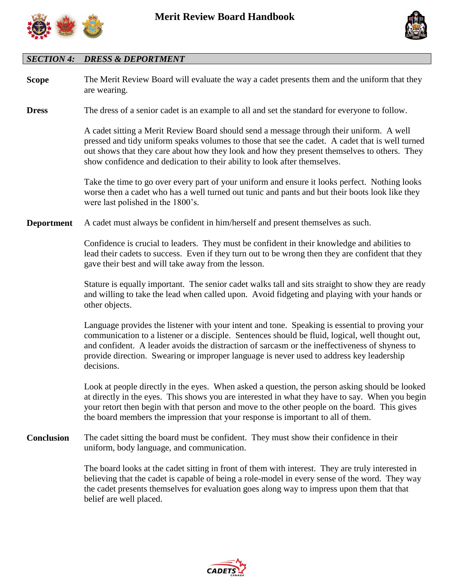



# *SECTION 4: DRESS & DEPORTMENT*

| <b>Scope</b>      | The Merit Review Board will evaluate the way a cadet presents them and the uniform that they<br>are wearing.                                                                                                                                                                                                                                                                                                    |
|-------------------|-----------------------------------------------------------------------------------------------------------------------------------------------------------------------------------------------------------------------------------------------------------------------------------------------------------------------------------------------------------------------------------------------------------------|
| <b>Dress</b>      | The dress of a senior cadet is an example to all and set the standard for everyone to follow.                                                                                                                                                                                                                                                                                                                   |
|                   | A cadet sitting a Merit Review Board should send a message through their uniform. A well<br>pressed and tidy uniform speaks volumes to those that see the cadet. A cadet that is well turned<br>out shows that they care about how they look and how they present themselves to others. They<br>show confidence and dedication to their ability to look after themselves.                                       |
|                   | Take the time to go over every part of your uniform and ensure it looks perfect. Nothing looks<br>worse then a cadet who has a well turned out tunic and pants and but their boots look like they<br>were last polished in the 1800's.                                                                                                                                                                          |
| <b>Deportment</b> | A cadet must always be confident in him/herself and present themselves as such.                                                                                                                                                                                                                                                                                                                                 |
|                   | Confidence is crucial to leaders. They must be confident in their knowledge and abilities to<br>lead their cadets to success. Even if they turn out to be wrong then they are confident that they<br>gave their best and will take away from the lesson.                                                                                                                                                        |
|                   | Stature is equally important. The senior cadet walks tall and sits straight to show they are ready<br>and willing to take the lead when called upon. Avoid fidgeting and playing with your hands or<br>other objects.                                                                                                                                                                                           |
|                   | Language provides the listener with your intent and tone. Speaking is essential to proving your<br>communication to a listener or a disciple. Sentences should be fluid, logical, well thought out,<br>and confident. A leader avoids the distraction of sarcasm or the ineffectiveness of shyness to<br>provide direction. Swearing or improper language is never used to address key leadership<br>decisions. |
|                   | Look at people directly in the eyes. When asked a question, the person asking should be looked<br>at directly in the eyes. This shows you are interested in what they have to say. When you begin<br>your retort then begin with that person and move to the other people on the board. This gives<br>the board members the impression that your response is important to all of them.                          |
| <b>Conclusion</b> | The cadet sitting the board must be confident. They must show their confidence in their<br>uniform, body language, and communication.                                                                                                                                                                                                                                                                           |
|                   | The board looks at the cadet sitting in front of them with interest. They are truly interested in<br>believing that the cadet is capable of being a role-model in every sense of the word. They way<br>the cadet presents themselves for evaluation goes along way to impress upon them that that<br>belief are well placed.                                                                                    |

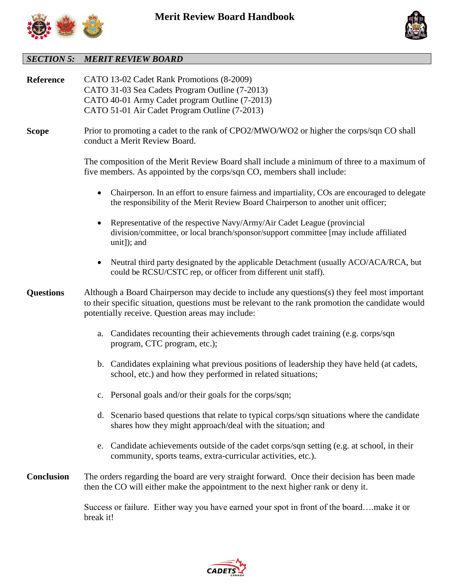



# *SECTION 5: MERIT REVIEW BOARD*

| Reference         | CATO 13-02 Cadet Rank Promotions (8-2009)<br>CATO 31-03 Sea Cadets Program Outline (7-2013)<br>CATO 40-01 Army Cadet program Outline (7-2013)<br>CATO 51-01 Air Cadet Program Outline (7-2013)                                                        |  |  |  |  |  |  |  |
|-------------------|-------------------------------------------------------------------------------------------------------------------------------------------------------------------------------------------------------------------------------------------------------|--|--|--|--|--|--|--|
| <b>Scope</b>      | Prior to promoting a cadet to the rank of CPO2/MWO/WO2 or higher the corps/sqn CO shall<br>conduct a Merit Review Board.                                                                                                                              |  |  |  |  |  |  |  |
|                   | The composition of the Merit Review Board shall include a minimum of three to a maximum of<br>five members. As appointed by the corps/sqn CO, members shall include:                                                                                  |  |  |  |  |  |  |  |
|                   | Chairperson. In an effort to ensure fairness and impartiality, COs are encouraged to delegate<br>the responsibility of the Merit Review Board Chairperson to another unit officer;                                                                    |  |  |  |  |  |  |  |
|                   | Representative of the respective Navy/Army/Air Cadet League (provincial<br>division/committee, or local branch/sponsor/support committee [may include affiliated<br>unit]); and                                                                       |  |  |  |  |  |  |  |
|                   | Neutral third party designated by the applicable Detachment (usually ACO/ACA/RCA, but<br>could be RCSU/CSTC rep, or officer from different unit staff).                                                                                               |  |  |  |  |  |  |  |
| <b>Questions</b>  | Although a Board Chairperson may decide to include any questions(s) they feel most important<br>to their specific situation, questions must be relevant to the rank promotion the candidate would<br>potentially receive. Question areas may include: |  |  |  |  |  |  |  |
|                   | a. Candidates recounting their achievements through cadet training (e.g. corps/sqn<br>program, CTC program, etc.);                                                                                                                                    |  |  |  |  |  |  |  |
|                   | Candidates explaining what previous positions of leadership they have held (at cadets,<br>$\mathbf{b}$ .<br>school, etc.) and how they performed in related situations;                                                                               |  |  |  |  |  |  |  |
|                   | c. Personal goals and/or their goals for the corps/sqn;                                                                                                                                                                                               |  |  |  |  |  |  |  |
|                   | d. Scenario based questions that relate to typical corps/sqn situations where the candidate<br>shares how they might approach/deal with the situation; and                                                                                            |  |  |  |  |  |  |  |
|                   | Candidate achievements outside of the cadet corps/sqn setting (e.g. at school, in their<br>e.<br>community, sports teams, extra-curricular activities, etc.).                                                                                         |  |  |  |  |  |  |  |
| <b>Conclusion</b> | The orders regarding the board are very straight forward. Once their decision has been made<br>then the CO will either make the appointment to the next higher rank or deny it.                                                                       |  |  |  |  |  |  |  |
|                   | Success or failure. Either way you have earned your spot in front of the boardmake it or<br>break it!                                                                                                                                                 |  |  |  |  |  |  |  |

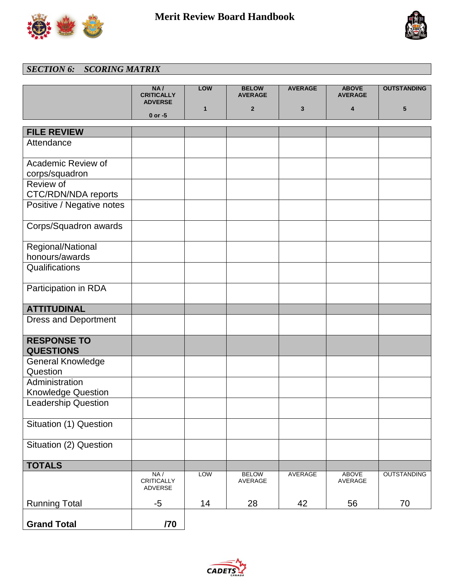



# *SECTION 6: SCORING MATRIX*

|                                        | NA/<br><b>CRITICALLY</b>      | LOW          | <b>BELOW</b><br><b>AVERAGE</b> | <b>AVERAGE</b> | <b>ABOVE</b><br><b>AVERAGE</b> | <b>OUTSTANDING</b> |
|----------------------------------------|-------------------------------|--------------|--------------------------------|----------------|--------------------------------|--------------------|
|                                        | <b>ADVERSE</b><br>$0$ or $-5$ | $\mathbf{1}$ | $\overline{2}$                 | 3              | 4                              | 5                  |
|                                        |                               |              |                                |                |                                |                    |
| <b>FILE REVIEW</b>                     |                               |              |                                |                |                                |                    |
| Attendance                             |                               |              |                                |                |                                |                    |
| Academic Review of                     |                               |              |                                |                |                                |                    |
| corps/squadron                         |                               |              |                                |                |                                |                    |
| Review of<br>CTC/RDN/NDA reports       |                               |              |                                |                |                                |                    |
| Positive / Negative notes              |                               |              |                                |                |                                |                    |
| Corps/Squadron awards                  |                               |              |                                |                |                                |                    |
| Regional/National<br>honours/awards    |                               |              |                                |                |                                |                    |
| Qualifications                         |                               |              |                                |                |                                |                    |
| Participation in RDA                   |                               |              |                                |                |                                |                    |
| <b>ATTITUDINAL</b>                     |                               |              |                                |                |                                |                    |
| <b>Dress and Deportment</b>            |                               |              |                                |                |                                |                    |
| <b>RESPONSE TO</b><br><b>QUESTIONS</b> |                               |              |                                |                |                                |                    |
| <b>General Knowledge</b><br>Question   |                               |              |                                |                |                                |                    |
| Administration                         |                               |              |                                |                |                                |                    |
| <b>Knowledge Question</b>              |                               |              |                                |                |                                |                    |
| <b>Leadership Question</b>             |                               |              |                                |                |                                |                    |
| Situation (1) Question                 |                               |              |                                |                |                                |                    |
| Situation (2) Question                 |                               |              |                                |                |                                |                    |
| <b>TOTALS</b>                          |                               |              |                                |                |                                |                    |
|                                        | NA/<br>CRITICALLY<br>ADVERSE  | <b>LOW</b>   | <b>BELOW</b><br>AVERAGE        | <b>AVERAGE</b> | <b>ABOVE</b><br>AVERAGE        | <b>OUTSTANDING</b> |
| <b>Running Total</b>                   | $-5$                          | 14           | 28                             | 42             | 56                             | 70                 |
| <b>Grand Total</b>                     | /70                           |              |                                |                |                                |                    |

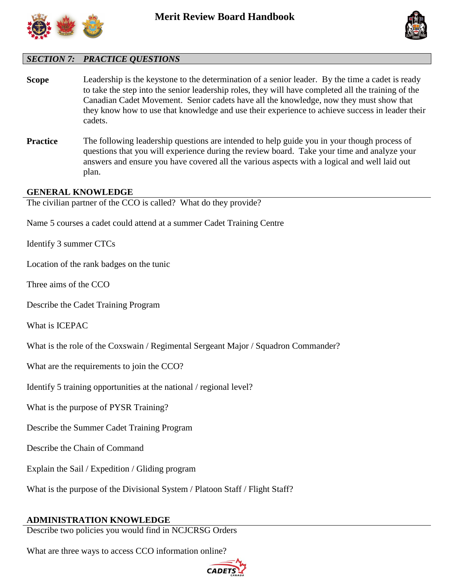



# *SECTION 7: PRACTICE QUESTIONS*

- **Scope** Leadership is the keystone to the determination of a senior leader. By the time a cadet is ready to take the step into the senior leadership roles, they will have completed all the training of the Canadian Cadet Movement. Senior cadets have all the knowledge, now they must show that they know how to use that knowledge and use their experience to achieve success in leader their cadets.
- **Practice** The following leadership questions are intended to help guide you in your though process of questions that you will experience during the review board. Take your time and analyze your answers and ensure you have covered all the various aspects with a logical and well laid out plan.

#### **GENERAL KNOWLEDGE**

The civilian partner of the CCO is called? What do they provide?

Name 5 courses a cadet could attend at a summer Cadet Training Centre

Identify 3 summer CTCs

Location of the rank badges on the tunic

Three aims of the CCO

Describe the Cadet Training Program

What is ICEPAC

What is the role of the Coxswain / Regimental Sergeant Major / Squadron Commander?

What are the requirements to join the CCO?

Identify 5 training opportunities at the national / regional level?

What is the purpose of PYSR Training?

Describe the Summer Cadet Training Program

Describe the Chain of Command

Explain the Sail / Expedition / Gliding program

What is the purpose of the Divisional System / Platoon Staff / Flight Staff?

#### **ADMINISTRATION KNOWLEDGE**

Describe two policies you would find in NCJCRSG Orders

What are three ways to access CCO information online?

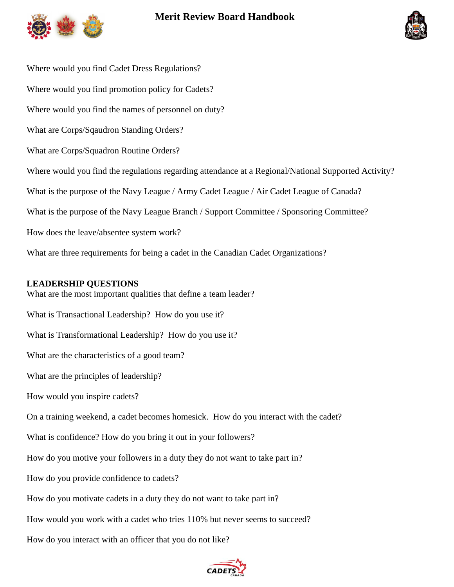

# **Merit Review Board Handbook**



Where would you find Cadet Dress Regulations? Where would you find promotion policy for Cadets? Where would you find the names of personnel on duty? What are Corps/Sqaudron Standing Orders? What are Corps/Squadron Routine Orders? Where would you find the regulations regarding attendance at a Regional/National Supported Activity? What is the purpose of the Navy League / Army Cadet League / Air Cadet League of Canada? What is the purpose of the Navy League Branch / Support Committee / Sponsoring Committee? How does the leave/absentee system work? What are three requirements for being a cadet in the Canadian Cadet Organizations?

## **LEADERSHIP QUESTIONS**

What are the most important qualities that define a team leader?

What is Transactional Leadership? How do you use it? What is Transformational Leadership? How do you use it? What are the characteristics of a good team? What are the principles of leadership? How would you inspire cadets? On a training weekend, a cadet becomes homesick. How do you interact with the cadet? What is confidence? How do you bring it out in your followers? How do you motive your followers in a duty they do not want to take part in? How do you provide confidence to cadets? How do you motivate cadets in a duty they do not want to take part in? How would you work with a cadet who tries 110% but never seems to succeed? How do you interact with an officer that you do not like?

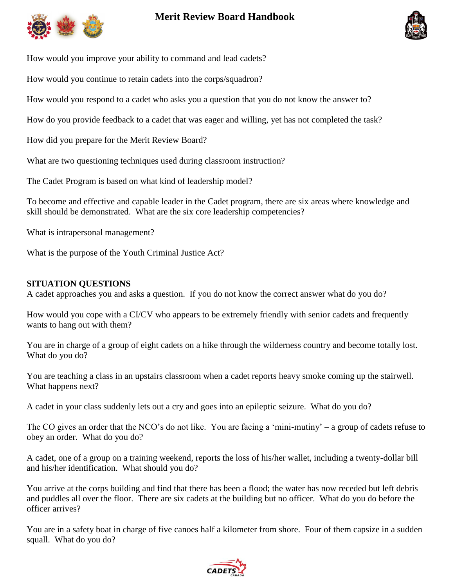

# **Merit Review Board Handbook**



How would you improve your ability to command and lead cadets?

How would you continue to retain cadets into the corps/squadron?

How would you respond to a cadet who asks you a question that you do not know the answer to?

How do you provide feedback to a cadet that was eager and willing, yet has not completed the task?

How did you prepare for the Merit Review Board?

What are two questioning techniques used during classroom instruction?

The Cadet Program is based on what kind of leadership model?

To become and effective and capable leader in the Cadet program, there are six areas where knowledge and skill should be demonstrated. What are the six core leadership competencies?

What is intrapersonal management?

What is the purpose of the Youth Criminal Justice Act?

#### **SITUATION QUESTIONS**

A cadet approaches you and asks a question. If you do not know the correct answer what do you do?

How would you cope with a CI/CV who appears to be extremely friendly with senior cadets and frequently wants to hang out with them?

You are in charge of a group of eight cadets on a hike through the wilderness country and become totally lost. What do you do?

You are teaching a class in an upstairs classroom when a cadet reports heavy smoke coming up the stairwell. What happens next?

A cadet in your class suddenly lets out a cry and goes into an epileptic seizure. What do you do?

The CO gives an order that the NCO's do not like. You are facing a 'mini-mutiny' – a group of cadets refuse to obey an order. What do you do?

A cadet, one of a group on a training weekend, reports the loss of his/her wallet, including a twenty-dollar bill and his/her identification. What should you do?

You arrive at the corps building and find that there has been a flood; the water has now receded but left debris and puddles all over the floor. There are six cadets at the building but no officer. What do you do before the officer arrives?

You are in a safety boat in charge of five canoes half a kilometer from shore. Four of them capsize in a sudden squall. What do you do?